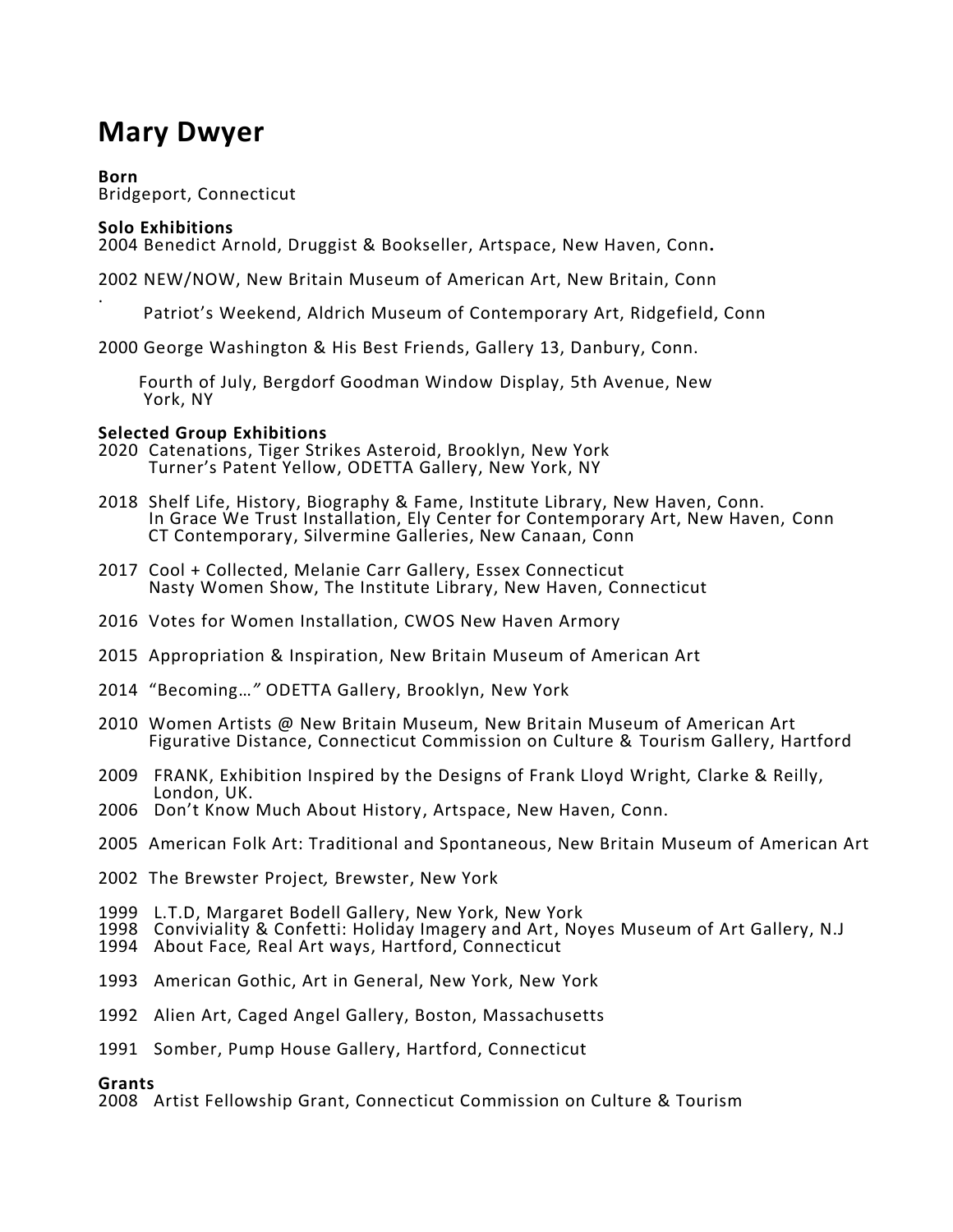# **Mary Dwyer**

**Born** Bridgeport, Connecticut

# **Solo Exhibitions**

.

2004 Benedict Arnold, Druggist & Bookseller, Artspace, New Haven, Conn**.**

2002 NEW/NOW, New Britain Museum of American Art, New Britain, Conn

Patriot's Weekend, Aldrich Museum of Contemporary Art, Ridgefield, Conn

2000 George Washington & His Best Friends, Gallery 13, Danbury, Conn.

 Fourth of July, Bergdorf Goodman Window Display, 5th Avenue, New York, NY

## **Selected Group Exhibitions**

- 2020 Catenations, Tiger Strikes Asteroid, Brooklyn, New York Turner's Patent Yellow, ODETTA Gallery, New York, NY
- 2018 Shelf Life, History, Biography & Fame, Institute Library, New Haven, Conn. In Grace We Trust Installation, Ely Center for Contemporary Art, New Haven, Conn CT Contemporary, Silvermine Galleries, New Canaan, Conn
- 2017 Cool + Collected, Melanie Carr Gallery, Essex Connecticut Nasty Women Show, The Institute Library, New Haven, Connecticut
- 2016 Votes for Women Installation, CWOS New Haven Armory
- 2015 Appropriation & Inspiration, New Britain Museum of American Art
- 2014 "Becoming…*"* ODETTA Gallery, Brooklyn, New York
- 2010 Women Artists @ New Britain Museum, New Britain Museum of American Art Figurative Distance, Connecticut Commission on Culture & Tourism Gallery, Hartford
- 2009 FRANK, Exhibition Inspired by the Designs of Frank Lloyd Wright*,* Clarke & Reilly, London, UK.
- 2006 Don't Know Much About History, Artspace, New Haven, Conn.
- 2005 American Folk Art: Traditional and Spontaneous, New Britain Museum of American Art
- 2002 The Brewster Project*,* Brewster, New York
- 1999 L.T.D, Margaret Bodell Gallery, New York, New York
- 1998 Conviviality & Confetti: Holiday Imagery and Art, Noyes Museum of Art Gallery, N.J
- 1994 About Face*,* Real Art ways, Hartford, Connecticut
- 1993 American Gothic, Art in General, New York, New York
- 1992 Alien Art, Caged Angel Gallery, Boston, Massachusetts
- 1991 Somber, Pump House Gallery, Hartford, Connecticut

## **Grants**

2008 Artist Fellowship Grant, Connecticut Commission on Culture & Tourism